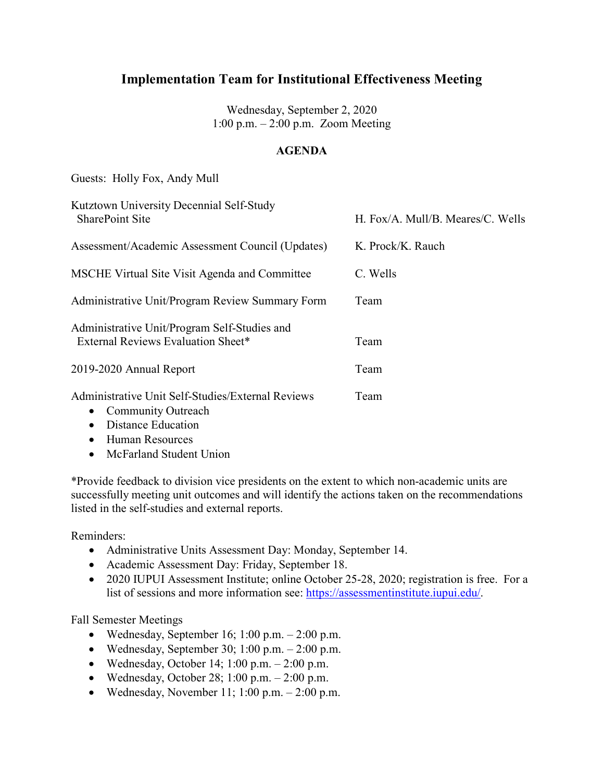Wednesday, September 2, 2020 1:00 p.m. – 2:00 p.m. Zoom Meeting

#### **AGENDA**

Guests: Holly Fox, Andy Mull

| Kutztown University Decennial Self-Study<br><b>SharePoint Site</b>                                                                    | H. Fox/A. Mull/B. Meares/C. Wells |
|---------------------------------------------------------------------------------------------------------------------------------------|-----------------------------------|
| Assessment/Academic Assessment Council (Updates)                                                                                      | K. Prock/K. Rauch                 |
| <b>MSCHE Virtual Site Visit Agenda and Committee</b>                                                                                  | C. Wells                          |
| Administrative Unit/Program Review Summary Form                                                                                       | Team                              |
| Administrative Unit/Program Self-Studies and<br>External Reviews Evaluation Sheet*                                                    | Team                              |
| 2019-2020 Annual Report                                                                                                               | Team                              |
| Administrative Unit Self-Studies/External Reviews<br><b>Community Outreach</b><br>$\bullet$<br><b>Distance Education</b><br>$\bullet$ | Team                              |

• Human Resources

• McFarland Student Union

\*Provide feedback to division vice presidents on the extent to which non-academic units are successfully meeting unit outcomes and will identify the actions taken on the recommendations listed in the self-studies and external reports.

Reminders:

- Administrative Units Assessment Day: Monday, September 14.
- Academic Assessment Day: Friday, September 18.
- 2020 IUPUI Assessment Institute; online October 25-28, 2020; registration is free. For a list of sessions and more information see: [https://assessmentinstitute.iupui.edu/.](https://nam02.safelinks.protection.outlook.com/?url=https%3A%2F%2Fassessmentinstitute.iupui.edu%2F&data=02%7C01%7Cwells%40kutztown.edu%7Ce026f656a9814784cf1108d8408961b5%7C03c754af89a74b0abd4bdb68146c5fa4%7C1%7C0%7C637330306075802300&sdata=HdBlWayUKybKUYKh5WVy75tN66XEjg%2BPKyfc0r04D%2Bg%3D&reserved=0)

Fall Semester Meetings

- Wednesday, September 16; 1:00 p.m.  $2:00$  p.m.
- Wednesday, September 30; 1:00 p.m.  $2:00$  p.m.
- Wednesday, October 14; 1:00 p.m.  $2:00$  p.m.
- Wednesday, October 28; 1:00 p.m.  $2:00$  p.m.
- Wednesday, November 11; 1:00 p.m.  $2:00$  p.m.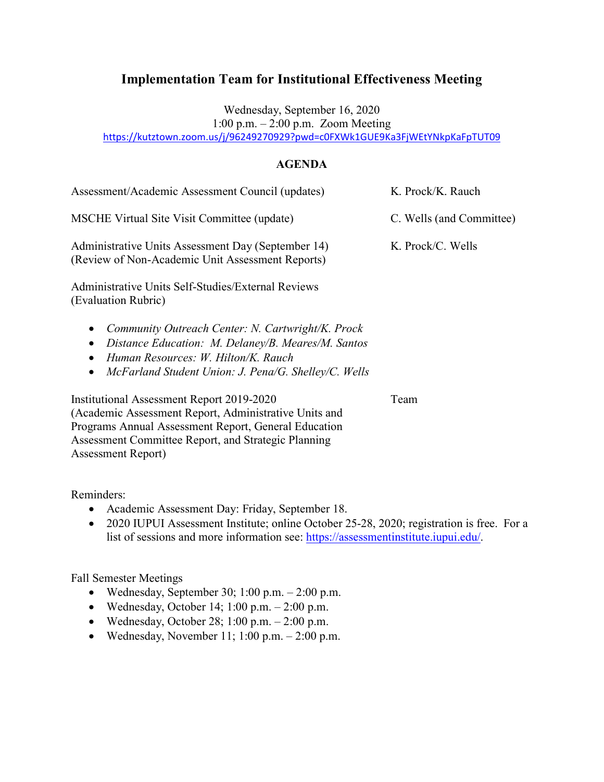Wednesday, September 16, 2020

1:00 p.m. – 2:00 p.m. Zoom Meeting

<https://kutztown.zoom.us/j/96249270929?pwd=c0FXWk1GUE9Ka3FjWEtYNkpKaFpTUT09>

## **AGENDA**

| Assessment/Academic Assessment Council (updates)                                                                                                                                                                                                           | K. Prock/K. Rauch        |
|------------------------------------------------------------------------------------------------------------------------------------------------------------------------------------------------------------------------------------------------------------|--------------------------|
| MSCHE Virtual Site Visit Committee (update)                                                                                                                                                                                                                | C. Wells (and Committee) |
| Administrative Units Assessment Day (September 14)<br>(Review of Non-Academic Unit Assessment Reports)                                                                                                                                                     | K. Prock/C. Wells        |
| Administrative Units Self-Studies/External Reviews<br>(Evaluation Rubric)                                                                                                                                                                                  |                          |
| Community Outreach Center: N. Cartwright/K. Prock<br>$\bullet$<br>Distance Education: M. Delaney/B. Meares/M. Santos<br>$\bullet$<br>Human Resources: W. Hilton/K. Rauch<br>$\bullet$<br>McFarland Student Union: J. Pena/G. Shelley/C. Wells<br>$\bullet$ |                          |
| Institutional Assessment Report 2019-2020<br>(Academic Assessment Report, Administrative Units and                                                                                                                                                         | Team                     |

(Academic Assessment Report, Administrative Units and Programs Annual Assessment Report, General Education Assessment Committee Report, and Strategic Planning Assessment Report)

Reminders:

- Academic Assessment Day: Friday, September 18.
- 2020 IUPUI Assessment Institute; online October 25-28, 2020; registration is free. For a list of sessions and more information see: [https://assessmentinstitute.iupui.edu/.](https://nam02.safelinks.protection.outlook.com/?url=https%3A%2F%2Fassessmentinstitute.iupui.edu%2F&data=02%7C01%7Cwells%40kutztown.edu%7Ce026f656a9814784cf1108d8408961b5%7C03c754af89a74b0abd4bdb68146c5fa4%7C1%7C0%7C637330306075802300&sdata=HdBlWayUKybKUYKh5WVy75tN66XEjg%2BPKyfc0r04D%2Bg%3D&reserved=0)

## Fall Semester Meetings

- Wednesday, September 30; 1:00 p.m. 2:00 p.m.
- Wednesday, October 14; 1:00 p.m.  $2:00$  p.m.
- Wednesday, October 28; 1:00 p.m. 2:00 p.m.
- Wednesday, November 11; 1:00 p.m.  $-2:00$  p.m.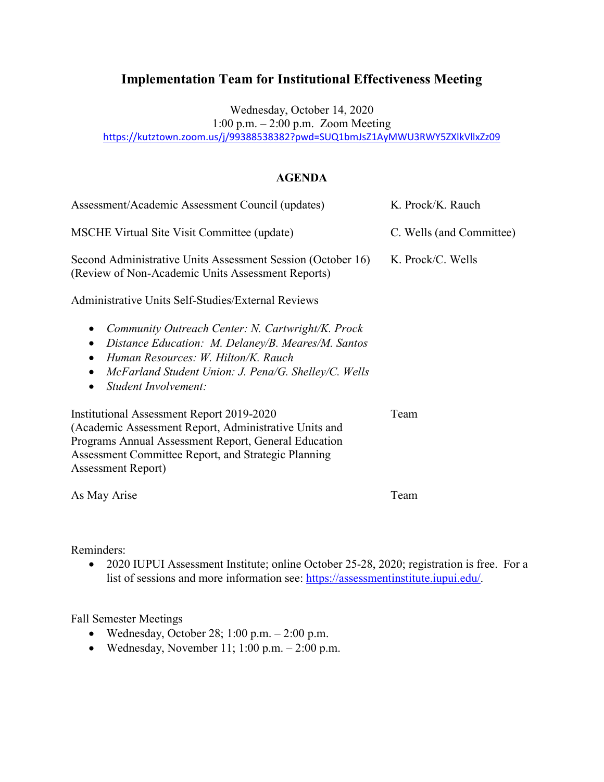Wednesday, October 14, 2020

1:00 p.m. – 2:00 p.m. Zoom Meeting

<https://kutztown.zoom.us/j/99388538382?pwd=SUQ1bmJsZ1AyMWU3RWY5ZXlkVllxZz09>

## **AGENDA**

| Assessment/Academic Assessment Council (updates)                                                                                                                                                                                                | K. Prock/K. Rauch        |
|-------------------------------------------------------------------------------------------------------------------------------------------------------------------------------------------------------------------------------------------------|--------------------------|
| MSCHE Virtual Site Visit Committee (update)                                                                                                                                                                                                     | C. Wells (and Committee) |
| Second Administrative Units Assessment Session (October 16)<br>(Review of Non-Academic Units Assessment Reports)                                                                                                                                | K. Prock/C. Wells        |
| Administrative Units Self-Studies/External Reviews                                                                                                                                                                                              |                          |
| Community Outreach Center: N. Cartwright/K. Prock<br>Distance Education: M. Delaney/B. Meares/M. Santos<br>Human Resources: W. Hilton/K. Rauch<br>McFarland Student Union: J. Pena/G. Shelley/C. Wells<br>Student Involvement:                  |                          |
| Institutional Assessment Report 2019-2020<br>(Academic Assessment Report, Administrative Units and<br>Programs Annual Assessment Report, General Education<br>Assessment Committee Report, and Strategic Planning<br><b>Assessment Report</b> ) | Team                     |
| As May Arise                                                                                                                                                                                                                                    | Team                     |

### Reminders:

• 2020 IUPUI Assessment Institute; online October 25-28, 2020; registration is free. For a list of sessions and more information see: [https://assessmentinstitute.iupui.edu/.](https://nam02.safelinks.protection.outlook.com/?url=https%3A%2F%2Fassessmentinstitute.iupui.edu%2F&data=02%7C01%7Cwells%40kutztown.edu%7Ce026f656a9814784cf1108d8408961b5%7C03c754af89a74b0abd4bdb68146c5fa4%7C1%7C0%7C637330306075802300&sdata=HdBlWayUKybKUYKh5WVy75tN66XEjg%2BPKyfc0r04D%2Bg%3D&reserved=0)

## Fall Semester Meetings

- Wednesday, October 28; 1:00 p.m. 2:00 p.m.
- Wednesday, November 11; 1:00 p.m.  $2:00$  p.m.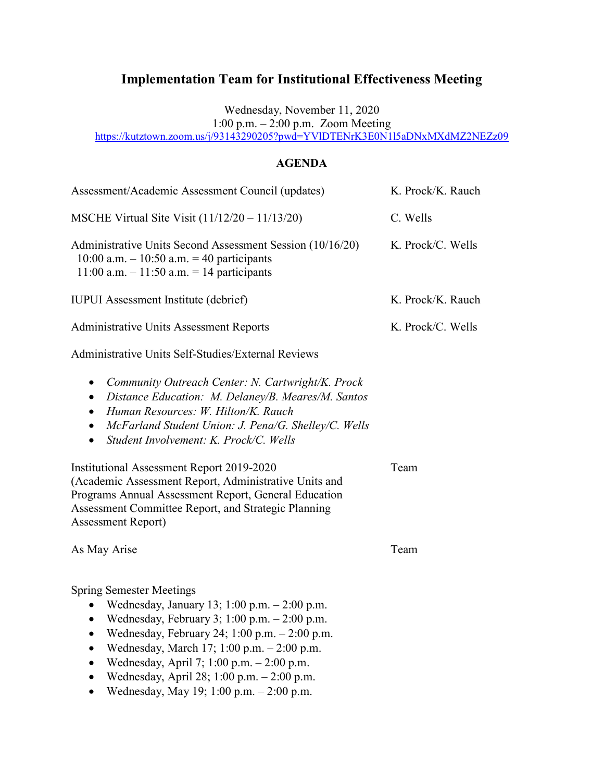Wednesday, November 11, 2020

1:00 p.m. – 2:00 p.m. Zoom Meeting

<https://kutztown.zoom.us/j/93143290205?pwd=YVlDTENrK3E0N1l5aDNxMXdMZ2NEZz09>

## **AGENDA**

| Assessment/Academic Assessment Council (updates)                                                                                                                                                                                                                                                     | K. Prock/K. Rauch |
|------------------------------------------------------------------------------------------------------------------------------------------------------------------------------------------------------------------------------------------------------------------------------------------------------|-------------------|
| MSCHE Virtual Site Visit $(11/12/20 - 11/13/20)$                                                                                                                                                                                                                                                     | C. Wells          |
| Administrative Units Second Assessment Session (10/16/20)<br>10:00 a.m. $-10:50$ a.m. $= 40$ participants<br>$11:00$ a.m. $-11:50$ a.m. $= 14$ participants                                                                                                                                          | K. Prock/C. Wells |
| <b>IUPUI</b> Assessment Institute (debrief)                                                                                                                                                                                                                                                          | K. Prock/K. Rauch |
| <b>Administrative Units Assessment Reports</b>                                                                                                                                                                                                                                                       | K. Prock/C. Wells |
| Administrative Units Self-Studies/External Reviews                                                                                                                                                                                                                                                   |                   |
| Community Outreach Center: N. Cartwright/K. Prock<br>$\bullet$<br>Distance Education: M. Delaney/B. Meares/M. Santos<br>$\bullet$<br>Human Resources: W. Hilton/K. Rauch<br>McFarland Student Union: J. Pena/G. Shelley/C. Wells<br>$\bullet$<br>Student Involvement: K. Prock/C. Wells<br>$\bullet$ |                   |
| Institutional Assessment Report 2019-2020<br>(Academic Assessment Report, Administrative Units and<br>Programs Annual Assessment Report, General Education<br>Assessment Committee Report, and Strategic Planning<br><b>Assessment Report)</b>                                                       | Team              |
| As May Arise                                                                                                                                                                                                                                                                                         | Team              |
| <b>Spring Semester Meetings</b><br>Wednesday, January 13; 1:00 p.m. $- 2:00$ p.m.<br>Wednesday, February 3; $1:00$ p.m. $-2:00$ p.m.<br>$\bullet$<br>Wednesday, February 24; $1:00$ p.m. $-2:00$ p.m.<br>Wednesday, March 17; 1:00 p.m. - 2:00 p.m.<br>$\bullet$                                     |                   |

- Wednesday, April 7; 1:00 p.m.  $2:00$  p.m.
- Wednesday, April 28; 1:00 p.m.  $2:00$  p.m.
- Wednesday, May 19; 1:00 p.m.  $2:00$  p.m.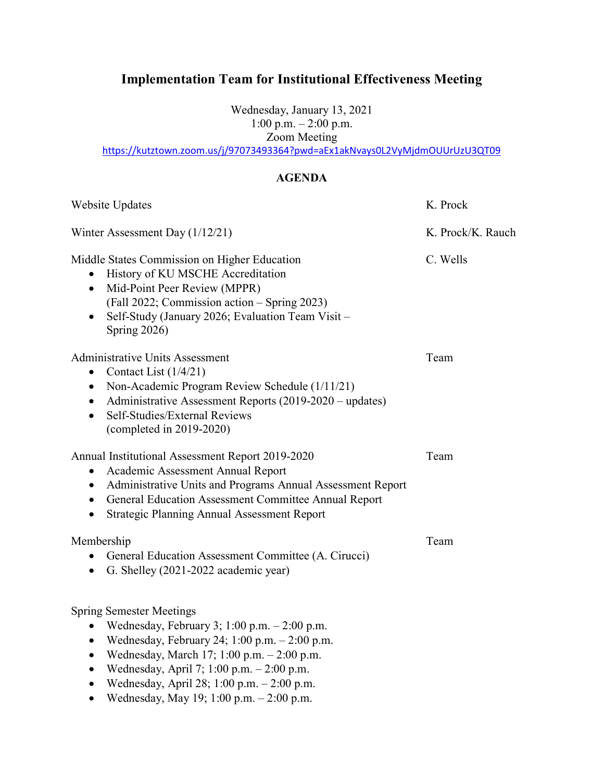Wednesday, January 13, 2021 1:00 p.m. – 2:00 p.m. Zoom Meeting

<https://kutztown.zoom.us/j/97073493364?pwd=aEx1akNvays0L2VyMjdmOUUrUzU3QT09>

#### **AGENDA**

| Website Updates                                                                                                                                                                                                                                                                                                                                                                                     | K. Prock          |
|-----------------------------------------------------------------------------------------------------------------------------------------------------------------------------------------------------------------------------------------------------------------------------------------------------------------------------------------------------------------------------------------------------|-------------------|
| Winter Assessment Day (1/12/21)                                                                                                                                                                                                                                                                                                                                                                     | K. Prock/K. Rauch |
| Middle States Commission on Higher Education<br>History of KU MSCHE Accreditation<br>• Mid-Point Peer Review (MPPR)<br>(Fall 2022; Commission action – Spring 2023)<br>Self-Study (January 2026; Evaluation Team Visit -<br>Spring 2026)                                                                                                                                                            | C. Wells          |
| <b>Administrative Units Assessment</b><br>Contact List $(1/4/21)$<br>$\bullet$<br>Non-Academic Program Review Schedule (1/11/21)<br>$\bullet$<br>Administrative Assessment Reports (2019-2020 – updates)<br>$\bullet$<br>Self-Studies/External Reviews<br>$\bullet$<br>$\left(\text{completed in } 2019\text{-}2020\right)$                                                                         | Team              |
| Annual Institutional Assessment Report 2019-2020<br>Academic Assessment Annual Report<br>$\bullet$<br>Administrative Units and Programs Annual Assessment Report<br>$\bullet$<br>• General Education Assessment Committee Annual Report<br><b>Strategic Planning Annual Assessment Report</b><br>$\bullet$                                                                                          | Team              |
| Membership<br>General Education Assessment Committee (A. Cirucci)<br>• G. Shelley (2021-2022 academic year)                                                                                                                                                                                                                                                                                         | Team              |
| <b>Spring Semester Meetings</b><br>Wednesday, February 3; 1:00 p.m. - 2:00 p.m.<br>$\bullet$<br>Wednesday, February 24; 1:00 p.m. - 2:00 p.m.<br>$\bullet$<br>Wednesday, March 17; 1:00 p.m. - 2:00 p.m.<br>$\bullet$<br>Wednesday, April 7; 1:00 p.m. - 2:00 p.m.<br>$\bullet$<br>Wednesday, April 28; 1:00 p.m. - 2:00 p.m.<br>$\bullet$<br>Wednesday, May 19; 1:00 p.m. - 2:00 p.m.<br>$\bullet$ |                   |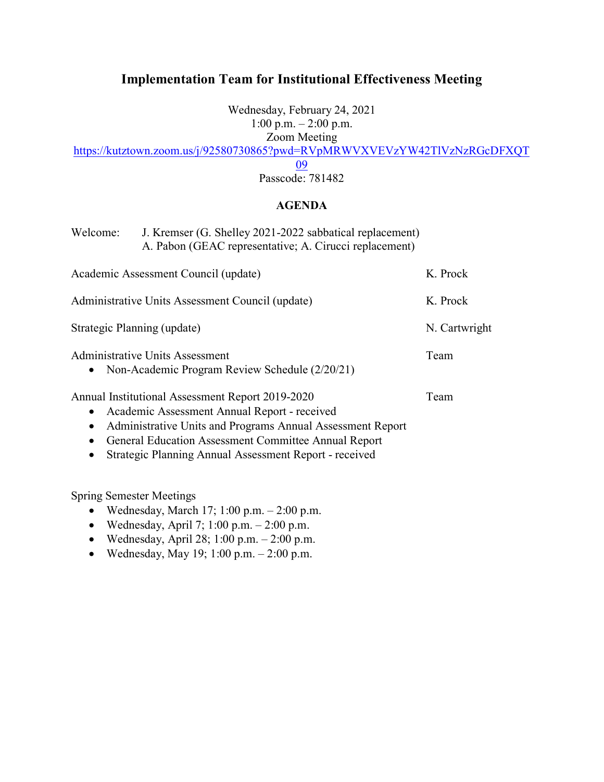Wednesday, February 24, 2021 1:00 p.m. – 2:00 p.m.

Zoom Meeting

[https://kutztown.zoom.us/j/92580730865?pwd=RVpMRWVXVEVzYW42TlVzNzRGcDFXQT](https://kutztown.zoom.us/j/92580730865?pwd=RVpMRWVXVEVzYW42TlVzNzRGcDFXQT09)

[09](https://kutztown.zoom.us/j/92580730865?pwd=RVpMRWVXVEVzYW42TlVzNzRGcDFXQT09)

Passcode: 781482

#### **AGENDA**

| Welcome:                    | J. Kremser (G. Shelley 2021-2022 sabbatical replacement)<br>A. Pabon (GEAC representative; A. Cirucci replacement)                                                                                                                                                               |               |
|-----------------------------|----------------------------------------------------------------------------------------------------------------------------------------------------------------------------------------------------------------------------------------------------------------------------------|---------------|
|                             | Academic Assessment Council (update)                                                                                                                                                                                                                                             | K. Prock      |
|                             | Administrative Units Assessment Council (update)                                                                                                                                                                                                                                 | K. Prock      |
| Strategic Planning (update) |                                                                                                                                                                                                                                                                                  | N. Cartwright |
| $\bullet$                   | Administrative Units Assessment<br>Non-Academic Program Review Schedule (2/20/21)                                                                                                                                                                                                | Team          |
| $\bullet$<br>$\bullet$      | Annual Institutional Assessment Report 2019-2020<br>Academic Assessment Annual Report - received<br>Administrative Units and Programs Annual Assessment Report<br>General Education Assessment Committee Annual Report<br>Strategic Planning Annual Assessment Report - received | Team          |

Spring Semester Meetings

- Wednesday, March 17; 1:00 p.m.  $2:00$  p.m.
- Wednesday, April 7; 1:00 p.m.  $-2:00$  p.m.
- Wednesday, April 28; 1:00 p.m.  $-2:00$  p.m.
- Wednesday, May 19; 1:00 p.m.  $2:00$  p.m.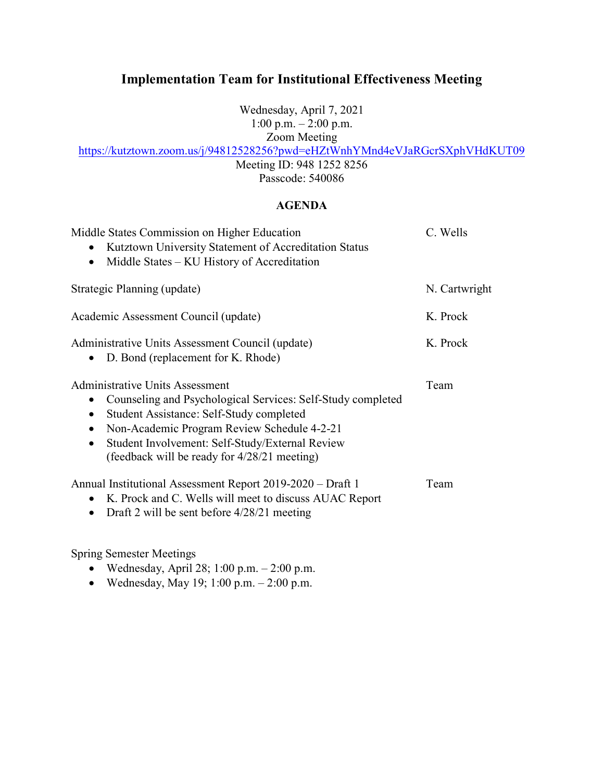Wednesday, April 7, 2021 1:00 p.m. – 2:00 p.m.

Zoom Meeting

<https://kutztown.zoom.us/j/94812528256?pwd=eHZtWnhYMnd4eVJaRGcrSXphVHdKUT09>

Meeting ID: 948 1252 8256 Passcode: 540086

#### **AGENDA**

| Middle States Commission on Higher Education<br>Kutztown University Statement of Accreditation Status<br>Middle States – KU History of Accreditation<br>$\bullet$                                                                                                                                                                          | C. Wells      |
|--------------------------------------------------------------------------------------------------------------------------------------------------------------------------------------------------------------------------------------------------------------------------------------------------------------------------------------------|---------------|
| Strategic Planning (update)                                                                                                                                                                                                                                                                                                                | N. Cartwright |
| Academic Assessment Council (update)                                                                                                                                                                                                                                                                                                       | K. Prock      |
| Administrative Units Assessment Council (update)<br>D. Bond (replacement for K. Rhode)<br>$\bullet$                                                                                                                                                                                                                                        | K. Prock      |
| <b>Administrative Units Assessment</b><br>Counseling and Psychological Services: Self-Study completed<br>Student Assistance: Self-Study completed<br>$\bullet$<br>Non-Academic Program Review Schedule 4-2-21<br>$\bullet$<br>Student Involvement: Self-Study/External Review<br>$\bullet$<br>(feedback will be ready for 4/28/21 meeting) | Team          |
| Annual Institutional Assessment Report 2019-2020 – Draft 1<br>• K. Prock and C. Wells will meet to discuss AUAC Report<br>Draft 2 will be sent before $4/28/21$ meeting<br>$\bullet$                                                                                                                                                       | Team          |

Spring Semester Meetings

- Wednesday, April 28; 1:00 p.m.  $2:00$  p.m.
- Wednesday, May 19; 1:00 p.m.  $2:00$  p.m.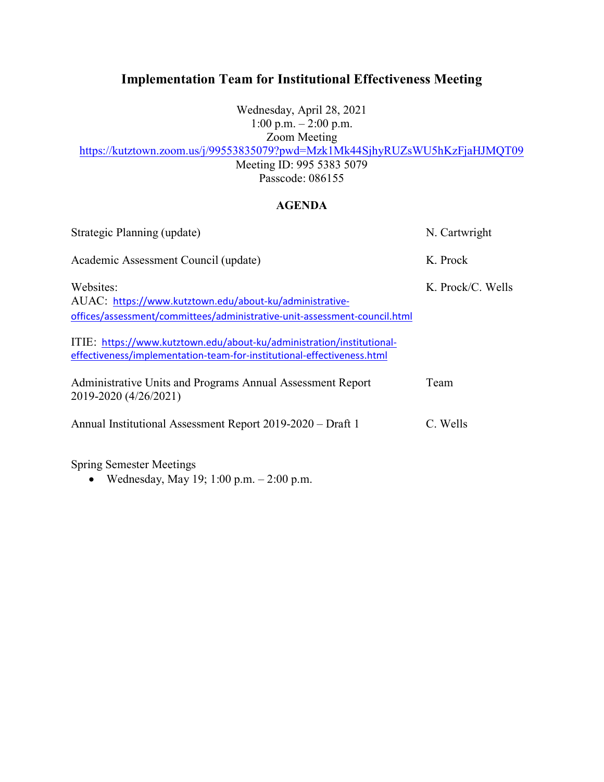Wednesday, April 28, 2021 1:00 p.m.  $-2:00$  p.m. Zoom Meeting

<https://kutztown.zoom.us/j/99553835079?pwd=Mzk1Mk44SjhyRUZsWU5hKzFjaHJMQT09>

Meeting ID: 995 5383 5079 Passcode: 086155

#### **AGENDA**

| Strategic Planning (update)                                                                                                                                                                                                                                                                          | N. Cartwright     |
|------------------------------------------------------------------------------------------------------------------------------------------------------------------------------------------------------------------------------------------------------------------------------------------------------|-------------------|
| Academic Assessment Council (update)                                                                                                                                                                                                                                                                 | K. Prock          |
| Websites:<br>AUAC: https://www.kutztown.edu/about-ku/administrative-<br>offices/assessment/committees/administrative-unit-assessment-council.html<br>ITIE: https://www.kutztown.edu/about-ku/administration/institutional-<br>effectiveness/implementation-team-for-institutional-effectiveness.html | K. Prock/C. Wells |
| Administrative Units and Programs Annual Assessment Report<br>2019-2020 (4/26/2021)                                                                                                                                                                                                                  | Team              |
| Annual Institutional Assessment Report 2019-2020 – Draft 1                                                                                                                                                                                                                                           | C. Wells          |

Spring Semester Meetings

• Wednesday, May 19; 1:00 p.m. – 2:00 p.m.